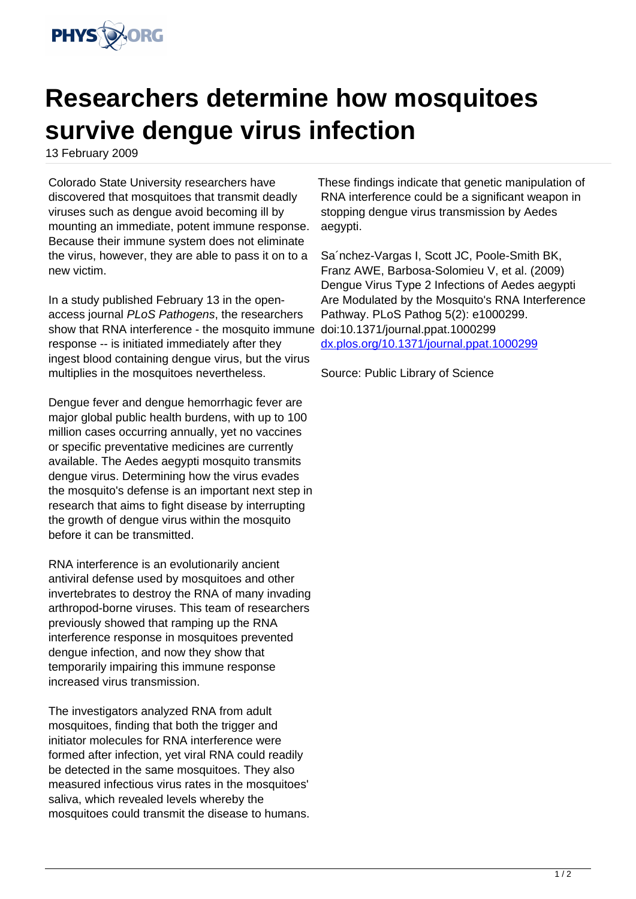

## **Researchers determine how mosquitoes survive dengue virus infection**

13 February 2009

Colorado State University researchers have discovered that mosquitoes that transmit deadly viruses such as dengue avoid becoming ill by mounting an immediate, potent immune response. Because their immune system does not eliminate the virus, however, they are able to pass it on to a new victim.

In a study published February 13 in the openaccess journal PLoS Pathogens, the researchers show that RNA interference - the mosquito immune response -- is initiated immediately after they ingest blood containing dengue virus, but the virus multiplies in the mosquitoes nevertheless.

Dengue fever and dengue hemorrhagic fever are major global public health burdens, with up to 100 million cases occurring annually, yet no vaccines or specific preventative medicines are currently available. The Aedes aegypti mosquito transmits dengue virus. Determining how the virus evades the mosquito's defense is an important next step in research that aims to fight disease by interrupting the growth of dengue virus within the mosquito before it can be transmitted.

RNA interference is an evolutionarily ancient antiviral defense used by mosquitoes and other invertebrates to destroy the RNA of many invading arthropod-borne viruses. This team of researchers previously showed that ramping up the RNA interference response in mosquitoes prevented dengue infection, and now they show that temporarily impairing this immune response increased virus transmission.

The investigators analyzed RNA from adult mosquitoes, finding that both the trigger and initiator molecules for RNA interference were formed after infection, yet viral RNA could readily be detected in the same mosquitoes. They also measured infectious virus rates in the mosquitoes' saliva, which revealed levels whereby the mosquitoes could transmit the disease to humans.

These findings indicate that genetic manipulation of RNA interference could be a significant weapon in stopping dengue virus transmission by Aedes aegypti.

Sa´nchez-Vargas I, Scott JC, Poole-Smith BK, Franz AWE, Barbosa-Solomieu V, et al. (2009) Dengue Virus Type 2 Infections of Aedes aegypti Are Modulated by the Mosquito's RNA Interference Pathway. PLoS Pathog 5(2): e1000299. doi:10.1371/journal.ppat.1000299 [dx.plos.org/10.1371/journal.ppat.1000299](http://dx.plos.org/10.1371/journal.ppat.1000299)

Source: Public Library of Science